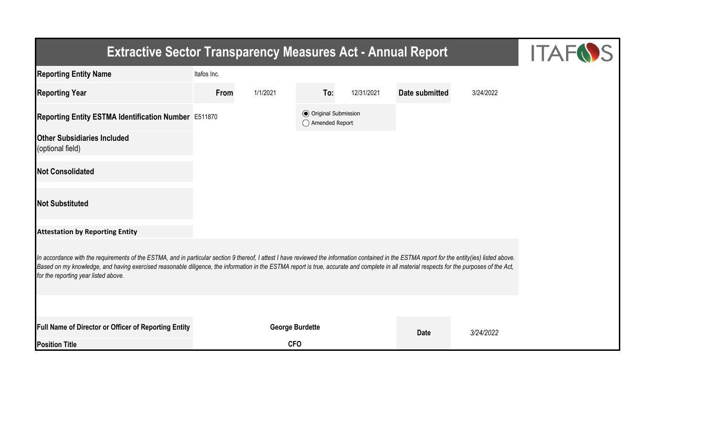| <b>Extractive Sector Transparency Measures Act - Annual Report</b>                                                                                                                                                                                                                                                                                                                                                                    | <b>ITAFOS</b> |                        |                                                  |            |                |           |  |  |  |  |
|---------------------------------------------------------------------------------------------------------------------------------------------------------------------------------------------------------------------------------------------------------------------------------------------------------------------------------------------------------------------------------------------------------------------------------------|---------------|------------------------|--------------------------------------------------|------------|----------------|-----------|--|--|--|--|
| <b>Reporting Entity Name</b>                                                                                                                                                                                                                                                                                                                                                                                                          | Itafos Inc.   |                        |                                                  |            |                |           |  |  |  |  |
| <b>Reporting Year</b>                                                                                                                                                                                                                                                                                                                                                                                                                 | From          | 1/1/2021               | To:                                              | 12/31/2021 | Date submitted | 3/24/2022 |  |  |  |  |
| Reporting Entity ESTMA Identification Number E511870                                                                                                                                                                                                                                                                                                                                                                                  |               |                        | <b>◎</b> Original Submission<br>◯ Amended Report |            |                |           |  |  |  |  |
| <b>Other Subsidiaries Included</b><br>(optional field)                                                                                                                                                                                                                                                                                                                                                                                |               |                        |                                                  |            |                |           |  |  |  |  |
| <b>Not Consolidated</b>                                                                                                                                                                                                                                                                                                                                                                                                               |               |                        |                                                  |            |                |           |  |  |  |  |
| <b>Not Substituted</b>                                                                                                                                                                                                                                                                                                                                                                                                                |               |                        |                                                  |            |                |           |  |  |  |  |
| <b>Attestation by Reporting Entity</b>                                                                                                                                                                                                                                                                                                                                                                                                |               |                        |                                                  |            |                |           |  |  |  |  |
| In accordance with the requirements of the ESTMA, and in particular section 9 thereof, I attest I have reviewed the information contained in the ESTMA report for the entity(ies) listed above.<br>Based on my knowledge, and having exercised reasonable diligence, the information in the ESTMA report is true, accurate and complete in all material respects for the purposes of the Act,<br>for the reporting year listed above. |               |                        |                                                  |            |                |           |  |  |  |  |
|                                                                                                                                                                                                                                                                                                                                                                                                                                       |               |                        |                                                  |            |                |           |  |  |  |  |
| Full Name of Director or Officer of Reporting Entity                                                                                                                                                                                                                                                                                                                                                                                  |               | <b>George Burdette</b> |                                                  |            | <b>Date</b>    | 3/24/2022 |  |  |  |  |
| <b>Position Title</b>                                                                                                                                                                                                                                                                                                                                                                                                                 |               | <b>CFO</b>             |                                                  |            |                |           |  |  |  |  |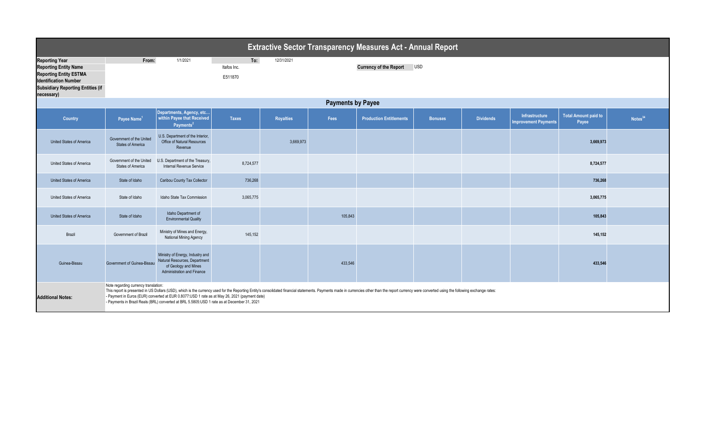| <b>Extractive Sector Transparency Measures Act - Annual Report</b>                                                                                                               |                                                                                                                                                                                                                                                                                                                                                                                                                                                                        |                                                                                                                                |                               |                  |         |                                |                |                  |                                               |                                      |                     |  |
|----------------------------------------------------------------------------------------------------------------------------------------------------------------------------------|------------------------------------------------------------------------------------------------------------------------------------------------------------------------------------------------------------------------------------------------------------------------------------------------------------------------------------------------------------------------------------------------------------------------------------------------------------------------|--------------------------------------------------------------------------------------------------------------------------------|-------------------------------|------------------|---------|--------------------------------|----------------|------------------|-----------------------------------------------|--------------------------------------|---------------------|--|
| <b>Reporting Year</b><br><b>Reporting Entity Name</b><br><b>Reporting Entity ESTMA</b><br><b>Identification Number</b><br><b>Subsidiary Reporting Entities (if</b><br>necessary) | From:                                                                                                                                                                                                                                                                                                                                                                                                                                                                  | 1/1/2021                                                                                                                       | To:<br>Itafos Inc.<br>E511870 | 12/31/2021       |         | <b>Currency of the Report</b>  | <b>USD</b>     |                  |                                               |                                      |                     |  |
| <b>Payments by Payee</b>                                                                                                                                                         |                                                                                                                                                                                                                                                                                                                                                                                                                                                                        |                                                                                                                                |                               |                  |         |                                |                |                  |                                               |                                      |                     |  |
| Country                                                                                                                                                                          | Payee Name <sup>1</sup>                                                                                                                                                                                                                                                                                                                                                                                                                                                | Departments, Agency, etc<br>within Payee that Received<br>Payments <sup>2</sup>                                                | <b>Taxes</b>                  | <b>Royalties</b> | Fees    | <b>Production Entitlements</b> | <b>Bonuses</b> | <b>Dividends</b> | Infrastructure<br><b>Improvement Payments</b> | <b>Total Amount paid to</b><br>Payee | Notes <sup>34</sup> |  |
| <b>United States of America</b>                                                                                                                                                  | Government of the United<br><b>States of America</b>                                                                                                                                                                                                                                                                                                                                                                                                                   | U.S. Department of the Interior,<br>Office of Natural Resources<br>Revenue                                                     |                               | 3,669,973        |         |                                |                |                  |                                               | 3,669,973                            |                     |  |
| United States of America                                                                                                                                                         | Government of the United<br><b>States of America</b>                                                                                                                                                                                                                                                                                                                                                                                                                   | U.S. Department of the Treasury,<br>Internal Revenue Service                                                                   | 8,724,577                     |                  |         |                                |                |                  |                                               | 8,724,577                            |                     |  |
| <b>United States of America</b>                                                                                                                                                  | State of Idaho                                                                                                                                                                                                                                                                                                                                                                                                                                                         | Caribou County Tax Collector                                                                                                   | 736,268                       |                  |         |                                |                |                  |                                               | 736,268                              |                     |  |
| United States of America                                                                                                                                                         | State of Idaho                                                                                                                                                                                                                                                                                                                                                                                                                                                         | Idaho State Tax Commission                                                                                                     | 3,065,775                     |                  |         |                                |                |                  |                                               | 3,065,775                            |                     |  |
| United States of America                                                                                                                                                         | State of Idaho                                                                                                                                                                                                                                                                                                                                                                                                                                                         | Idaho Department of<br><b>Environmental Quality</b>                                                                            |                               |                  | 105,843 |                                |                |                  |                                               | 105,843                              |                     |  |
| Brazil                                                                                                                                                                           | Government of Brazil                                                                                                                                                                                                                                                                                                                                                                                                                                                   | Ministry of Mines and Energy,<br><b>National Mining Agency</b>                                                                 | 145,152                       |                  |         |                                |                |                  |                                               | 145,152                              |                     |  |
| Guinea-Bissau                                                                                                                                                                    | Government of Guinea-Bissau                                                                                                                                                                                                                                                                                                                                                                                                                                            | Ministry of Energy, Industry and<br>Natural Resources, Department<br>of Geology and Mines<br><b>Administration and Finance</b> |                               |                  | 433,546 |                                |                |                  |                                               | 433,546                              |                     |  |
| <b>Additional Notes:</b>                                                                                                                                                         | Note regarding currency translation:<br>This report is presented in US Dollars (USD), which is the currency used for the Reporting Entity's consolidated financial statements. Payments made in currencies other than the report currency were converted using the fol<br>- Payment in Euros (EUR) converted at EUR 0.8077:USD 1 rate as at May 26, 2021 (payment date)<br>- Payments in Brazil Reals (BRL) converted at BRL 5.5805:USD 1 rate as at December 31, 2021 |                                                                                                                                |                               |                  |         |                                |                |                  |                                               |                                      |                     |  |